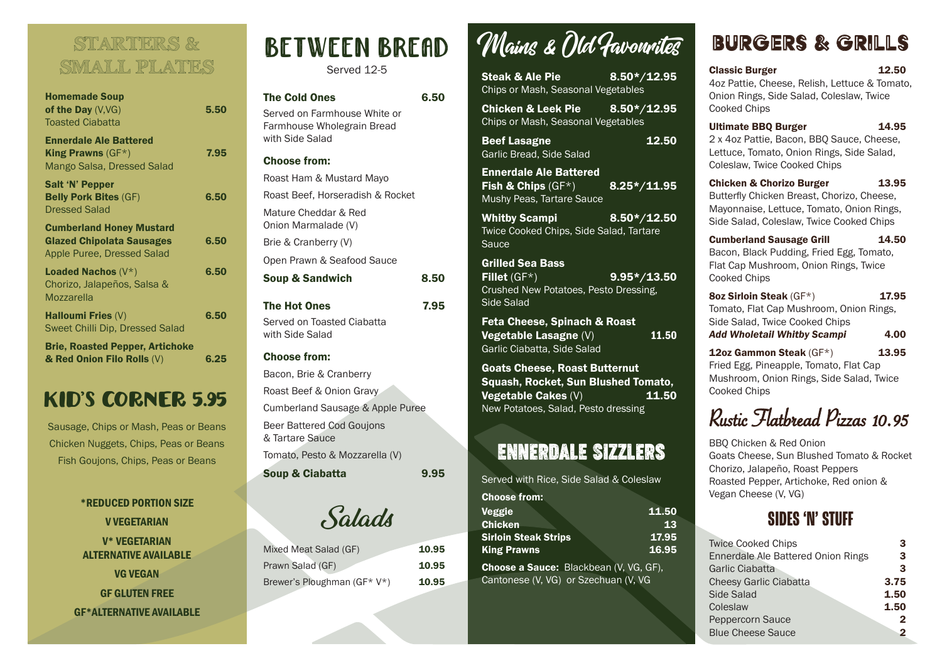#### STARTERS & SMALL PLATES

| <b>Homemade Soup</b><br>of the Day $(V,VG)$<br><b>Toasted Ciabatta</b>                                   | 5.50 |
|----------------------------------------------------------------------------------------------------------|------|
| <b>Ennerdale Ale Battered</b><br>King Prawns $(GF^*)$<br>Mango Salsa, Dressed Salad                      | 7.95 |
| <b>Salt 'N' Pepper</b><br><b>Belly Pork Bites (GF)</b><br><b>Dressed Salad</b>                           | 6.50 |
| <b>Cumberland Honey Mustard</b><br><b>Glazed Chipolata Sausages</b><br><b>Apple Puree, Dressed Salad</b> | 6.50 |
| <b>Loaded Nachos</b> $(V^*)$<br>Chorizo, Jalapeños, Salsa &<br>Mozzarella                                | 6.50 |
| <b>Halloumi Fries (V)</b><br>Sweet Chilli Dip, Dressed Salad                                             | 6.50 |
| <b>Brie, Roasted Pepper, Artichoke</b><br>& Red Onion Filo Rolls (V)                                     | 6.25 |

#### KID'S CORNER 5.95

Sausage, Chips or Mash, Peas or Beans Chicken Nuggets, Chips, Peas or Beans Fish Goujons, Chips, Peas or Beans

> \*REDUCED PORTION SIZE V VEGETARIAN V\* VEGETARIAN ALTERNATIVE AVAILABLE VG VEGAN

GF GLUTEN FREE GF\*ALTERNATIVE AVAILABLE

# BETWEEN BREAD

Served 12-5

| <b>The Cold Ones</b><br>Served on Farmhouse White or<br>Farmhouse Wholegrain Bread<br>with Side Salad | 6.50 |
|-------------------------------------------------------------------------------------------------------|------|
| <b>Choose from:</b>                                                                                   |      |
| Roast Ham & Mustard Mayo                                                                              |      |
| Roast Beef, Horseradish & Rocket                                                                      |      |
| Mature Cheddar & Red<br>Onion Marmalade (V)                                                           |      |
| Brie & Cranberry (V)                                                                                  |      |
| Open Prawn & Seafood Sauce                                                                            |      |
| <b>Soup &amp; Sandwich</b>                                                                            | 8.50 |
| The Hot Ones<br>Served on Toasted Ciabatta<br>with Side Salad                                         | 7.95 |
| <b>Choose from:</b>                                                                                   |      |
| Bacon, Brie & Cranberry<br>Roast Beef & Onion Gravy                                                   |      |
| <b>Cumberland Sausage &amp; Apple Puree</b>                                                           |      |

Beer Battered Cod Goujons & Tartare Sauce

Tomato, Pesto & Mozzarella (V)

Soup & Ciabatta 50.95

Salads

| Mixed Meat Salad (GF)       | 10.95 |
|-----------------------------|-------|
| Prawn Salad (GF)            | 10.95 |
| Brewer's Ploughman (GF* V*) | 10.95 |

## Mains & Old Favourites

| Steak & Ale Pie <b>Steak &amp; Steak</b><br>Chips or Mash, Seasonal Vegetables                         | $8.50*/12.95$            |
|--------------------------------------------------------------------------------------------------------|--------------------------|
| Chicken & Leek Pie $8.50*/12.95$<br>Chips or Mash, Seasonal Vegetables                                 |                          |
| <b>Beef Lasagne</b><br>Garlic Bread, Side Salad                                                        | 12.50                    |
| <b>Ennerdale Ale Battered</b><br><b>Fish &amp; Chips</b> $(GF^*)$<br><b>Mushy Peas, Tartare Sauce</b>  | $\overline{8.25*/11.95}$ |
| <u> Tanzania (</u><br><b>Whitby Scampi</b><br><b>Twice Cooked Chips, Side Salad, Tartare</b><br>Sauce  | $8.50*/12.50$            |
| <b>Grilled Sea Bass</b><br>Fillet $(GF^*)$<br>Crushed New Potatoes, Pesto Dressing,<br>Side Salad      | $9.95*/13.50$            |
| <b>Feta Cheese, Spinach &amp; Roast</b><br><b>Vegetable Lasagne (V)</b><br>Garlic Ciabatta, Side Salad | 11.50                    |
| <b>Goats Cheese, Roast Butternut</b><br>Squash, Rocket, Sun Blushed Tomato.                            |                          |

Squash, Rocket, Sun Blushed Tomato, Vegetable Cakes  $(V)$  11.50 New Potatoes, Salad, Pesto dressing

#### ENNERDALE SIZZLERS

Served with Rice, Side Salad & Coleslaw

| <b>Choose from:</b>         |       |
|-----------------------------|-------|
| <b>Veggie</b>               | 11.50 |
| <b>Chicken</b>              | 13    |
| <b>Sirloin Steak Strips</b> | 17.95 |
| <b>King Prawns</b>          | 16.95 |

Choose a Sauce: Blackbean (V, VG, GF), Cantonese (V, VG) or Szechuan (V, VG

### BURGERS & GRILLS

| <b>Classic Burger</b>                         | 12.50 |
|-----------------------------------------------|-------|
| 4oz Pattie, Cheese, Relish, Lettuce & Tomato, |       |
| Onion Rings, Side Salad, Coleslaw, Twice      |       |
| Cooked Chips                                  |       |

Ultimate BBQ Burger 14.95 2 x 4oz Pattie, Bacon, BBQ Sauce, Cheese, Lettuce, Tomato, Onion Rings, Side Salad, Coleslaw, Twice Cooked Chips

Chicken & Chorizo Burger 13.95 Butterfly Chicken Breast, Chorizo, Cheese, Mayonnaise, Lettuce, Tomato, Onion Rings, Side Salad, Coleslaw, Twice Cooked Chips

Cumberland Sausage Grill 14.50 Bacon, Black Pudding, Fried Egg, Tomato, Flat Cap Mushroom, Onion Rings, Twice Cooked Chips

8oz Sirloin Steak (GF\*) 17.95 Tomato, Flat Cap Mushroom, Onion Rings, Side Salad, Twice Cooked Chips Add Wholetail Whitby Scampi 4.00

12oz Gammon Steak  $(GF^*)$  13.95 Fried Egg, Pineapple, Tomato, Flat Cap Mushroom, Onion Rings, Side Salad, Twice Cooked Chips

### Rustic Flatbread Pizzas 10.95

BBQ Chicken & Red Onion Goats Cheese, Sun Blushed Tomato & Rocket Chorizo, Jalapeño, Roast Peppers Roasted Pepper, Artichoke, Red onion & Vegan Cheese (V, VG)

#### **SIDES 'N' STUFF**

| <b>Twice Cooked Chips</b>          | 3    |
|------------------------------------|------|
| Ennerdale Ale Battered Onion Rings | 3    |
| <b>Garlic Ciabatta</b>             | 3    |
| <b>Cheesy Garlic Ciabatta</b>      | 3.75 |
| Side Salad                         | 1.50 |
| Coleslaw                           | 1.50 |
| Peppercorn Sauce                   |      |
| <b>Blue Cheese Sauce</b>           |      |